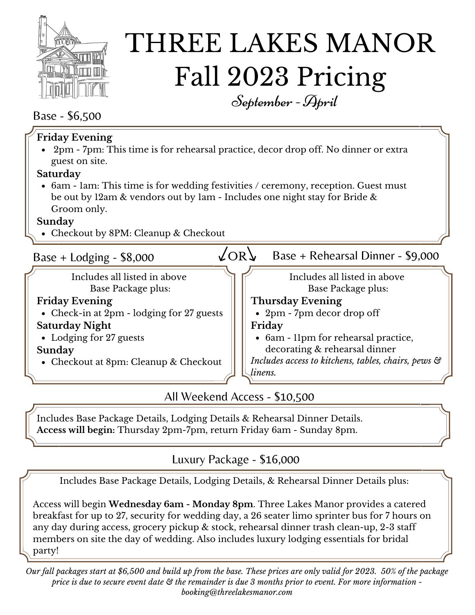

# THREE LAKES MANOR Fall 2023 Pricing September- April

### Base - \$6,500

| <b>Friday Evening</b><br>• 2pm - 7pm: This time is for rehearsal practice, decor drop off. No dinner or extra |                                                     |
|---------------------------------------------------------------------------------------------------------------|-----------------------------------------------------|
| guest on site.                                                                                                |                                                     |
| Saturday                                                                                                      |                                                     |
| • 6am - 1am: This time is for wedding festivities / ceremony, reception. Guest must                           |                                                     |
| be out by 12am & vendors out by 1am - Includes one night stay for Bride &                                     |                                                     |
| Groom only.                                                                                                   |                                                     |
| Sunday                                                                                                        |                                                     |
| • Checkout by 8PM: Cleanup & Checkout                                                                         |                                                     |
| Base + Lodging - $$8,000$                                                                                     | 2ORL<br>Base + Rehearsal Dinner - \$9,000           |
| Includes all listed in above                                                                                  | Includes all listed in above                        |
| Base Package plus:                                                                                            | Base Package plus:                                  |
| <b>Friday Evening</b>                                                                                         | <b>Thursday Evening</b>                             |
| • Check-in at 2pm - lodging for 27 guests                                                                     | • 2pm - 7pm decor drop off                          |
| <b>Saturday Night</b>                                                                                         | Friday                                              |
| • Lodging for 27 guests                                                                                       | • 6am - 11pm for rehearsal practice,                |
| Sunday                                                                                                        | decorating & rehearsal dinner                       |
| • Checkout at 8pm: Cleanup & Checkout                                                                         | Includes access to kitchens, tables, chairs, pews & |
|                                                                                                               | linens.                                             |
|                                                                                                               |                                                     |
| All Weekend Access - \$10,500                                                                                 |                                                     |

Includes Base Package Details, Lodging Details & Rehearsal Dinner Details. **Access will begin:** Thursday 2pm-7pm, return Friday 6am - Sunday 8pm.

### Luxury Package - \$16,000

Includes Base Package Details, Lodging Details, & Rehearsal Dinner Details plus:

Access will begin **Wednesday 6am - Monday 8pm**. Three Lakes Manor provides a catered breakfast for up to 27, security for wedding day, a 26 seater limo sprinter bus for 7 hours on any day during access, grocery pickup & stock, rehearsal dinner trash clean-up, 2-3 staff members on site the day of wedding. Also includes luxury lodging essentials for bridal party!

Our fall packages start at \$6,500 and build up from the base. These prices are only valid for 2023. 50% of the package price is due to secure event date  $\mathfrak S$  the remainder is due 3 months prior to event. For more information *booking@threelakesmanor.com*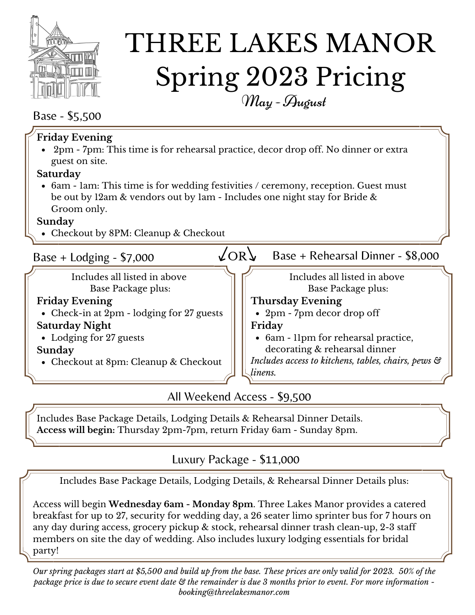

# THREE LAKES MANOR Spring 2023 Pricing May- August

#### Base - \$5,500

| <b>Friday Evening</b><br>• $2\text{pm}$ - $7\text{pm}$ : This time is for rehearsal practice, decor drop off. No dinner or extra<br>guest on site.                              |                                                     |
|---------------------------------------------------------------------------------------------------------------------------------------------------------------------------------|-----------------------------------------------------|
| Saturday                                                                                                                                                                        |                                                     |
| • 6am - 1am: This time is for wedding festivities / ceremony, reception. Guest must<br>be out by 12am & vendors out by 1am - Includes one night stay for Bride &<br>Groom only. |                                                     |
| Sunday                                                                                                                                                                          |                                                     |
| • Checkout by 8PM: Cleanup & Checkout                                                                                                                                           |                                                     |
| Base + Lodging - $$7,000$                                                                                                                                                       | 'OR<br>Base + Rehearsal Dinner - \$8,000            |
| Includes all listed in above                                                                                                                                                    | Includes all listed in above                        |
| Base Package plus:                                                                                                                                                              | Base Package plus:                                  |
| <b>Friday Evening</b>                                                                                                                                                           | <b>Thursday Evening</b>                             |
| • Check-in at 2pm - lodging for 27 guests                                                                                                                                       | • 2pm - 7pm decor drop off                          |
| <b>Saturday Night</b>                                                                                                                                                           | Friday                                              |
| • Lodging for 27 guests                                                                                                                                                         | • 6am - 11pm for rehearsal practice,                |
| Sunday                                                                                                                                                                          | decorating & rehearsal dinner                       |
| • Checkout at 8pm: Cleanup & Checkout                                                                                                                                           | Includes access to kitchens, tables, chairs, pews & |
|                                                                                                                                                                                 | linens.                                             |
|                                                                                                                                                                                 |                                                     |

All Weekend Access - \$9,500

Includes Base Package Details, Lodging Details & Rehearsal Dinner Details. **Access will begin:** Thursday 2pm-7pm, return Friday 6am - Sunday 8pm.

### Luxury Package - \$11,000

Includes Base Package Details, Lodging Details, & Rehearsal Dinner Details plus:

Access will begin **Wednesday 6am - Monday 8pm**. Three Lakes Manor provides a catered breakfast for up to 27, security for wedding day, a 26 seater limo sprinter bus for 7 hours on any day during access, grocery pickup & stock, rehearsal dinner trash clean-up, 2-3 staff members on site the day of wedding. Also includes luxury lodging essentials for bridal party!

Our spring packages start at \$5,500 and build up from the base. These prices are only valid for 2023. 50% of the package price is due to secure event date & the remainder is due 3 months prior to event. For more information *booking@threelakesmanor.com*